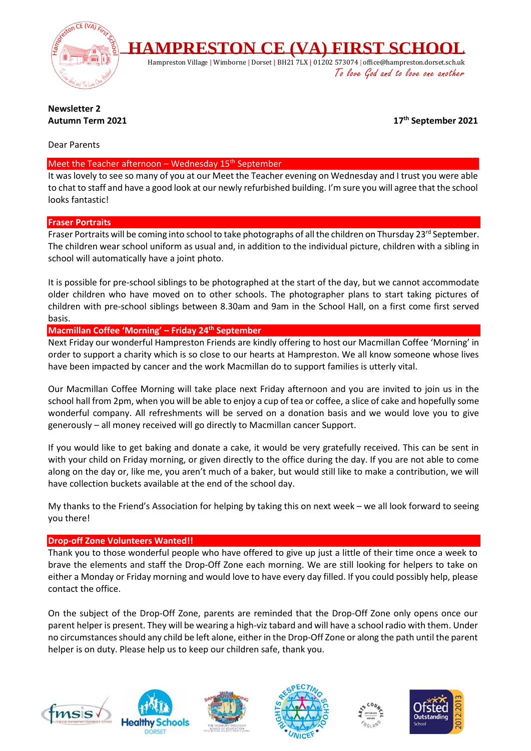

# **Newsletter 2 Autumn Term 2021**

**th September 2021**

Dear Parents

### Meet the Teacher afternoon – Wednesday  $15<sup>th</sup>$  September

It was lovely to see so many of you at our Meet the Teacher evening on Wednesday and I trust you were able to chat to staff and have a good look at our newly refurbished building. I'm sure you will agree that the school looks fantastic!

# **Fraser Portraits**

Fraser Portraits will be coming into school to take photographs of all the children on Thursday 23<sup>rd</sup> September. The children wear school uniform as usual and, in addition to the individual picture, children with a sibling in school will automatically have a joint photo.

It is possible for pre-school siblings to be photographed at the start of the day, but we cannot accommodate older children who have moved on to other schools. The photographer plans to start taking pictures of children with pre-school siblings between 8.30am and 9am in the School Hall, on a first come first served basis.

# **Macmillan Coffee 'Morning' – Friday 24th September**

Next Friday our wonderful Hampreston Friends are kindly offering to host our Macmillan Coffee 'Morning' in order to support a charity which is so close to our hearts at Hampreston. We all know someone whose lives have been impacted by cancer and the work Macmillan do to support families is utterly vital.

Our Macmillan Coffee Morning will take place next Friday afternoon and you are invited to join us in the school hall from 2pm, when you will be able to enjoy a cup of tea or coffee, a slice of cake and hopefully some wonderful company. All refreshments will be served on a donation basis and we would love you to give generously – all money received will go directly to Macmillan cancer Support.

If you would like to get baking and donate a cake, it would be very gratefully received. This can be sent in with your child on Friday morning, or given directly to the office during the day. If you are not able to come along on the day or, like me, you aren't much of a baker, but would still like to make a contribution, we will have collection buckets available at the end of the school day.

My thanks to the Friend's Association for helping by taking this on next week – we all look forward to seeing you there!

# **Drop-off Zone Volunteers Wanted!!**

Thank you to those wonderful people who have offered to give up just a little of their time once a week to brave the elements and staff the Drop-Off Zone each morning. We are still looking for helpers to take on either a Monday or Friday morning and would love to have every day filled. If you could possibly help, please contact the office.

On the subject of the Drop-Off Zone, parents are reminded that the Drop-Off Zone only opens once our parent helper is present. They will be wearing a high-viz tabard and will have a school radio with them. Under no circumstances should any child be left alone, either in the Drop-Off Zone or along the path until the parent helper is on duty. Please help us to keep our children safe, thank you.











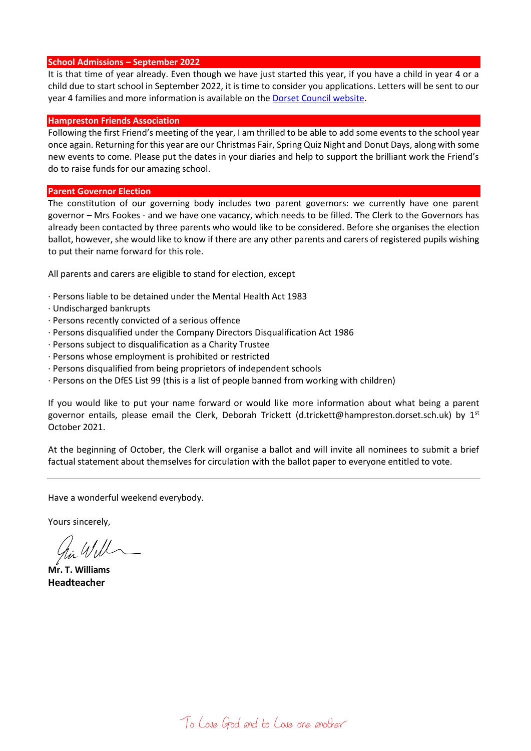#### **School Admissions – September 2022**

It is that time of year already. Even though we have just started this year, if you have a child in year 4 or a child due to start school in September 2022, it is time to consider you applications. Letters will be sent to our year 4 families and more information is available on the **Dorset Council website**.

#### **Hampreston Friends Association**

Following the first Friend's meeting of the year, I am thrilled to be able to add some events to the school year once again. Returning for this year are our Christmas Fair, Spring Quiz Night and Donut Days, along with some new events to come. Please put the dates in your diaries and help to support the brilliant work the Friend's do to raise funds for our amazing school.

#### **Parent Governor Election**

The constitution of our governing body includes two parent governors: we currently have one parent governor – Mrs Fookes - and we have one vacancy, which needs to be filled. The Clerk to the Governors has already been contacted by three parents who would like to be considered. Before she organises the election ballot, however, she would like to know if there are any other parents and carers of registered pupils wishing to put their name forward for this role.

All parents and carers are eligible to stand for election, except

- · Persons liable to be detained under the Mental Health Act 1983
- · Undischarged bankrupts
- · Persons recently convicted of a serious offence
- · Persons disqualified under the Company Directors Disqualification Act 1986
- · Persons subject to disqualification as a Charity Trustee
- · Persons whose employment is prohibited or restricted
- · Persons disqualified from being proprietors of independent schools
- · Persons on the DfES List 99 (this is a list of people banned from working with children)

If you would like to put your name forward or would like more information about what being a parent governor entails, please email the Clerk, Deborah Trickett (d.trickett@hampreston.dorset.sch.uk) by 1st October 2021.

At the beginning of October, the Clerk will organise a ballot and will invite all nominees to submit a brief factual statement about themselves for circulation with the ballot paper to everyone entitled to vote.

Have a wonderful weekend everybody.

Yours sincerely,

in Will

**Mr. T. Williams Headteacher**

To Love God and to Love one another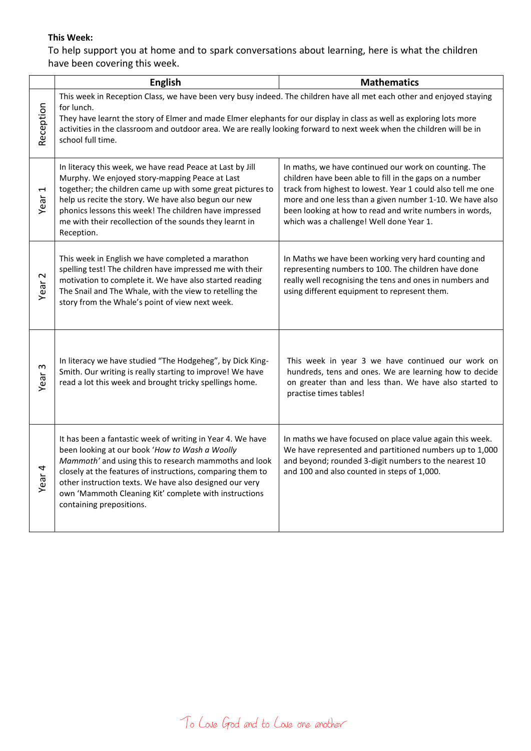# **This Week:**

To help support you at home and to spark conversations about learning, here is what the children have been covering this week.

|                                   | <b>English</b>                                                                                                                                                                                                                                                                                                                                                                                            | <b>Mathematics</b>                                                                                                                                                                                                                                                                                                                                 |
|-----------------------------------|-----------------------------------------------------------------------------------------------------------------------------------------------------------------------------------------------------------------------------------------------------------------------------------------------------------------------------------------------------------------------------------------------------------|----------------------------------------------------------------------------------------------------------------------------------------------------------------------------------------------------------------------------------------------------------------------------------------------------------------------------------------------------|
| Reception                         | This week in Reception Class, we have been very busy indeed. The children have all met each other and enjoyed staying<br>for lunch.<br>They have learnt the story of Elmer and made Elmer elephants for our display in class as well as exploring lots more<br>activities in the classroom and outdoor area. We are really looking forward to next week when the children will be in<br>school full time. |                                                                                                                                                                                                                                                                                                                                                    |
| 1<br>Year                         | In literacy this week, we have read Peace at Last by Jill<br>Murphy. We enjoyed story-mapping Peace at Last<br>together; the children came up with some great pictures to<br>help us recite the story. We have also begun our new<br>phonics lessons this week! The children have impressed<br>me with their recollection of the sounds they learnt in<br>Reception.                                      | In maths, we have continued our work on counting. The<br>children have been able to fill in the gaps on a number<br>track from highest to lowest. Year 1 could also tell me one<br>more and one less than a given number 1-10. We have also<br>been looking at how to read and write numbers in words,<br>which was a challenge! Well done Year 1. |
| Year <sub>2</sub>                 | This week in English we have completed a marathon<br>spelling test! The children have impressed me with their<br>motivation to complete it. We have also started reading<br>The Snail and The Whale, with the view to retelling the<br>story from the Whale's point of view next week.                                                                                                                    | In Maths we have been working very hard counting and<br>representing numbers to 100. The children have done<br>really well recognising the tens and ones in numbers and<br>using different equipment to represent them.                                                                                                                            |
| $\boldsymbol{\mathsf{c}}$<br>Year | In literacy we have studied "The Hodgeheg", by Dick King-<br>Smith. Our writing is really starting to improve! We have<br>read a lot this week and brought tricky spellings home.                                                                                                                                                                                                                         | This week in year 3 we have continued our work on<br>hundreds, tens and ones. We are learning how to decide<br>on greater than and less than. We have also started to<br>practise times tables!                                                                                                                                                    |
| Year <sub>4</sub>                 | It has been a fantastic week of writing in Year 4. We have<br>been looking at our book 'How to Wash a Woolly<br>Mammoth' and using this to research mammoths and look<br>closely at the features of instructions, comparing them to<br>other instruction texts. We have also designed our very<br>own 'Mammoth Cleaning Kit' complete with instructions<br>containing prepositions.                       | In maths we have focused on place value again this week.<br>We have represented and partitioned numbers up to 1,000<br>and beyond; rounded 3-digit numbers to the nearest 10<br>and 100 and also counted in steps of 1,000.                                                                                                                        |